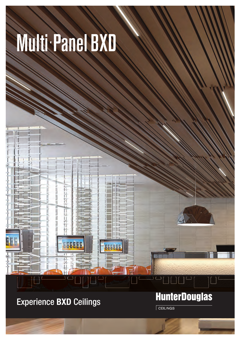## Multi. Panel BXD

## Experience **BXD** Ceilings

N

## **HunterDouglas**

 $C$ EILINGS